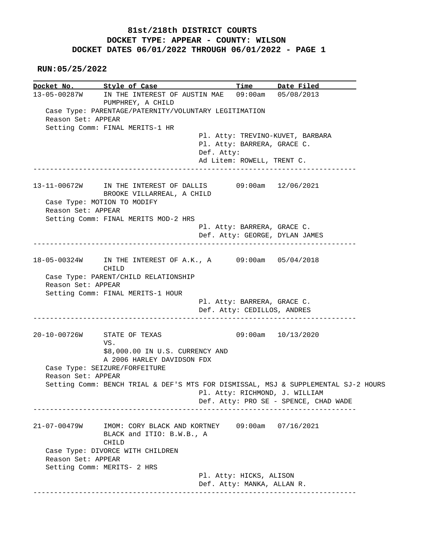## **81st/218th DISTRICT COURTS DOCKET TYPE: APPEAR - COUNTY: WILSON DOCKET DATES 06/01/2022 THROUGH 06/01/2022 - PAGE 1**

 **RUN:05/25/2022**

**Docket No. Style of Case Time Date Filed**  13-05-00287W IN THE INTEREST OF AUSTIN MAE 09:00am 05/08/2013 PUMPHREY, A CHILD Case Type: PARENTAGE/PATERNITY/VOLUNTARY LEGITIMATION Reason Set: APPEAR Setting Comm: FINAL MERITS-1 HR Pl. Atty: TREVINO-KUVET, BARBARA Pl. Atty: BARRERA, GRACE C. Def. Atty: Ad Litem: ROWELL, TRENT C. ------------------------------------------------------------------------------ 13-11-00672W IN THE INTEREST OF DALLIS 09:00am 12/06/2021 BROOKE VILLARREAL, A CHILD Case Type: MOTION TO MODIFY Reason Set: APPEAR Setting Comm: FINAL MERITS MOD-2 HRS Pl. Atty: BARRERA, GRACE C. Def. Atty: GEORGE, DYLAN JAMES ------------------------------------------------------------------------------ 18-05-00324W IN THE INTEREST OF A.K., A 09:00am 05/04/2018 CHILD Case Type: PARENT/CHILD RELATIONSHIP Reason Set: APPEAR Setting Comm: FINAL MERITS-1 HOUR Pl. Atty: BARRERA, GRACE C. Def. Atty: CEDILLOS, ANDRES ------------------------------------------------------------------------------ 20-10-00726W STATE OF TEXAS 09:00am 10/13/2020 VS. \$8,000.00 IN U.S. CURRENCY AND A 2006 HARLEY DAVIDSON FDX Case Type: SEIZURE/FORFEITURE Reason Set: APPEAR Setting Comm: BENCH TRIAL & DEF'S MTS FOR DISMISSAL, MSJ & SUPPLEMENTAL SJ-2 HOURS Pl. Atty: RICHMOND, J. WILLIAM Def. Atty: PRO SE - SPENCE, CHAD WADE ------------------------------------------------------------------------------ 21-07-00479W IMOM: CORY BLACK AND KORTNEY 09:00am 07/16/2021 BLACK and ITIO: B.W.B., A CHILD Case Type: DIVORCE WITH CHILDREN Reason Set: APPEAR Setting Comm: MERITS- 2 HRS Pl. Atty: HICKS, ALISON Def. Atty: MANKA, ALLAN R. ------------------------------------------------------------------------------